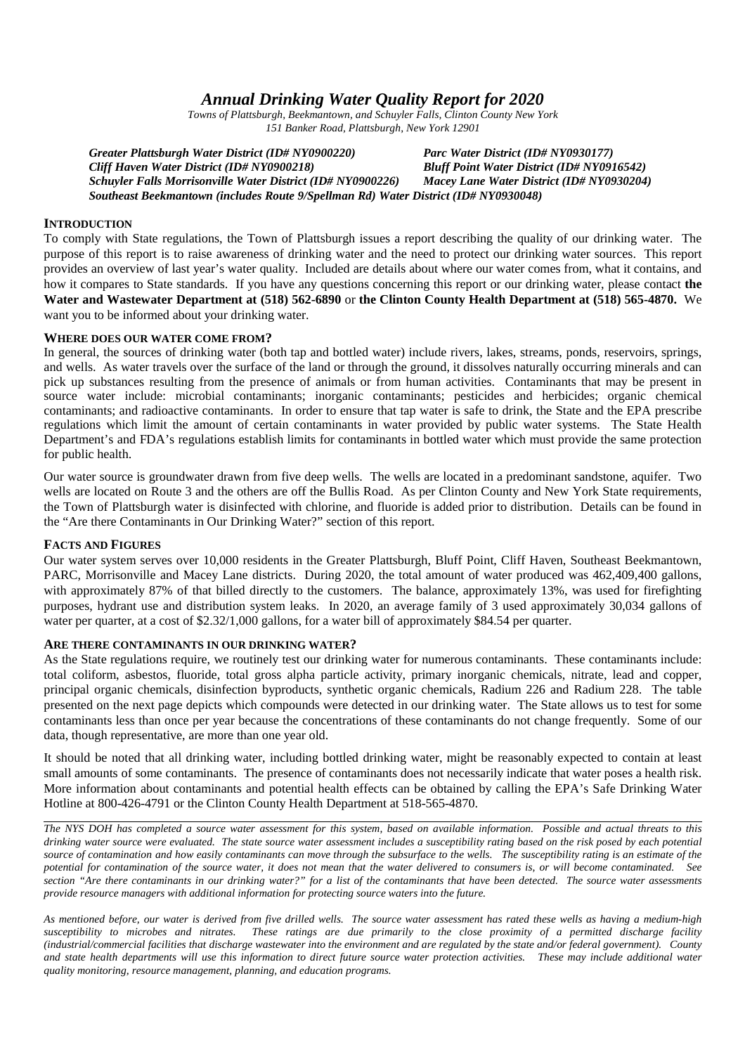# *Annual Drinking Water Quality Report for 2020*

*Towns of Plattsburgh, Beekmantown, and Schuyler Falls, Clinton County New York 151 Banker Road, Plattsburgh, New York 12901*

*Greater Plattsburgh Water District (ID# NY0900220) Parc Water District (ID# NY0930177) Cliff Haven Water District (ID# NY0900218) Bluff Point Water District (ID# NY0916542) Schuyler Falls Morrisonville Water District (ID# NY0900226) Macey Lane Water District (ID# NY0930204) Southeast Beekmantown (includes Route 9/Spellman Rd) Water District (ID# NY0930048)*

### **INTRODUCTION**

To comply with State regulations, the Town of Plattsburgh issues a report describing the quality of our drinking water. The purpose of this report is to raise awareness of drinking water and the need to protect our drinking water sources. This report provides an overview of last year's water quality. Included are details about where our water comes from, what it contains, and how it compares to State standards. If you have any questions concerning this report or our drinking water, please contact **the Water and Wastewater Department at (518) 562-6890** or **the Clinton County Health Department at (518) 565-4870.** We want you to be informed about your drinking water.

### **WHERE DOES OUR WATER COME FROM?**

In general, the sources of drinking water (both tap and bottled water) include rivers, lakes, streams, ponds, reservoirs, springs, and wells. As water travels over the surface of the land or through the ground, it dissolves naturally occurring minerals and can pick up substances resulting from the presence of animals or from human activities. Contaminants that may be present in source water include: microbial contaminants; inorganic contaminants; pesticides and herbicides; organic chemical contaminants; and radioactive contaminants. In order to ensure that tap water is safe to drink, the State and the EPA prescribe regulations which limit the amount of certain contaminants in water provided by public water systems. The State Health Department's and FDA's regulations establish limits for contaminants in bottled water which must provide the same protection for public health.

Our water source is groundwater drawn from five deep wells. The wells are located in a predominant sandstone, aquifer. Two wells are located on Route 3 and the others are off the Bullis Road. As per Clinton County and New York State requirements, the Town of Plattsburgh water is disinfected with chlorine, and fluoride is added prior to distribution. Details can be found in the "Are there Contaminants in Our Drinking Water?" section of this report.

### **FACTS AND FIGURES**

Our water system serves over 10,000 residents in the Greater Plattsburgh, Bluff Point, Cliff Haven, Southeast Beekmantown, PARC, Morrisonville and Macey Lane districts. During 2020, the total amount of water produced was 462,409,400 gallons, with approximately 87% of that billed directly to the customers. The balance, approximately 13%, was used for firefighting purposes, hydrant use and distribution system leaks. In 2020, an average family of 3 used approximately 30,034 gallons of water per quarter, at a cost of \$2.32/1,000 gallons, for a water bill of approximately \$84.54 per quarter.

#### **ARE THERE CONTAMINANTS IN OUR DRINKING WATER?**

As the State regulations require, we routinely test our drinking water for numerous contaminants. These contaminants include: total coliform, asbestos, fluoride, total gross alpha particle activity, primary inorganic chemicals, nitrate, lead and copper, principal organic chemicals, disinfection byproducts, synthetic organic chemicals, Radium 226 and Radium 228. The table presented on the next page depicts which compounds were detected in our drinking water. The State allows us to test for some contaminants less than once per year because the concentrations of these contaminants do not change frequently. Some of our data, though representative, are more than one year old.

It should be noted that all drinking water, including bottled drinking water, might be reasonably expected to contain at least small amounts of some contaminants. The presence of contaminants does not necessarily indicate that water poses a health risk. More information about contaminants and potential health effects can be obtained by calling the EPA's Safe Drinking Water Hotline at 800-426-4791 or the Clinton County Health Department at 518-565-4870.

*The NYS DOH has completed a source water assessment for this system, based on available information. Possible and actual threats to this drinking water source were evaluated. The state source water assessment includes a susceptibility rating based on the risk posed by each potential source of contamination and how easily contaminants can move through the subsurface to the wells. The susceptibility rating is an estimate of the potential for contamination of the source water, it does not mean that the water delivered to consumers is, or will become contaminated. See section "Are there contaminants in our drinking water?" for a list of the contaminants that have been detected. The source water assessments provide resource managers with additional information for protecting source waters into the future.*

*As mentioned before, our water is derived from five drilled wells. The source water assessment has rated these wells as having a medium-high susceptibility to microbes and nitrates. These ratings are due primarily to the close proximity of a permitted discharge facility (industrial/commercial facilities that discharge wastewater into the environment and are regulated by the state and/or federal government). County and state health departments will use this information to direct future source water protection activities. These may include additional water quality monitoring, resource management, planning, and education programs.*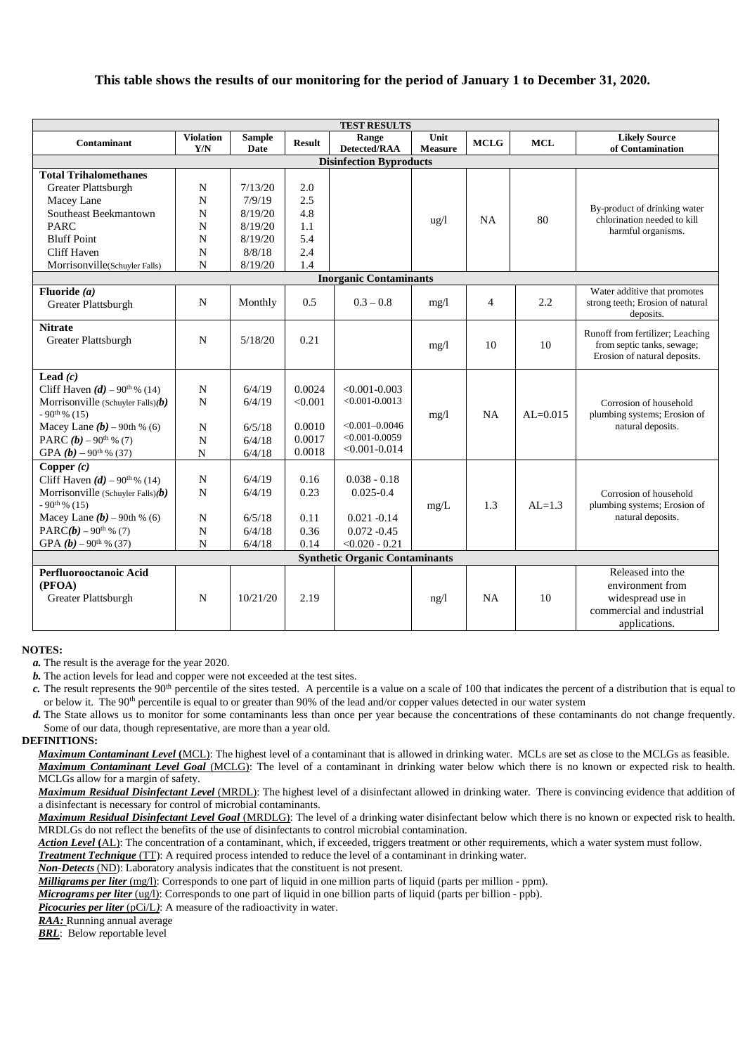# **This table shows the results of our monitoring for the period of January 1 to December 31, 2020.**

| <b>TEST RESULTS</b>                                                  |                         |                       |               |                                       |                        |                |            |                                                                |  |
|----------------------------------------------------------------------|-------------------------|-----------------------|---------------|---------------------------------------|------------------------|----------------|------------|----------------------------------------------------------------|--|
| <b>Contaminant</b>                                                   | <b>Violation</b><br>Y/N | <b>Sample</b><br>Date | <b>Result</b> | Range<br>Detected/RAA                 | Unit<br><b>Measure</b> | <b>MCLG</b>    | <b>MCL</b> | <b>Likely Source</b><br>of Contamination                       |  |
| <b>Disinfection Byproducts</b>                                       |                         |                       |               |                                       |                        |                |            |                                                                |  |
| <b>Total Trihalomethanes</b>                                         |                         |                       |               |                                       |                        |                |            |                                                                |  |
| Greater Plattsburgh                                                  | $\mathbf N$             | 7/13/20               | 2.0           |                                       |                        |                |            |                                                                |  |
| Macey Lane                                                           | N                       | 7/9/19                | 2.5           |                                       |                        |                |            |                                                                |  |
| Southeast Beekmantown                                                | N                       | 8/19/20               | 4.8           |                                       |                        |                |            | By-product of drinking water                                   |  |
| <b>PARC</b>                                                          | N                       | 8/19/20               | 1.1           |                                       | $u\alpha/l$            | NA             | 80         | chlorination needed to kill<br>harmful organisms.              |  |
| <b>Bluff Point</b>                                                   | N                       | 8/19/20               | 5.4           |                                       |                        |                |            |                                                                |  |
| Cliff Haven                                                          | N                       | 8/8/18                | 2.4           |                                       |                        |                |            |                                                                |  |
| Morrisonville(Schuyler Falls)                                        | N                       | 8/19/20               | 1.4           |                                       |                        |                |            |                                                                |  |
|                                                                      |                         |                       |               | <b>Inorganic Contaminants</b>         |                        |                |            |                                                                |  |
| Fluoride $(a)$                                                       |                         |                       |               |                                       |                        |                |            | Water additive that promotes                                   |  |
| Greater Plattsburgh                                                  | $\mathbf N$             | Monthly               | 0.5           | $0.3 - 0.8$                           | mg/1                   | $\overline{4}$ | 2.2        | strong teeth; Erosion of natural<br>deposits.                  |  |
| <b>Nitrate</b>                                                       |                         |                       |               |                                       |                        |                |            |                                                                |  |
| <b>Greater Plattsburgh</b>                                           | N                       | 5/18/20               | 0.21          |                                       | mg/1                   | 10             | 10         | Runoff from fertilizer; Leaching<br>from septic tanks, sewage; |  |
|                                                                      |                         |                       |               |                                       |                        |                |            | Erosion of natural deposits.                                   |  |
|                                                                      |                         |                       |               |                                       |                        |                |            |                                                                |  |
| Lead $(c)$                                                           |                         |                       |               |                                       |                        |                |            |                                                                |  |
| Cliff Haven $(d)$ – 90 <sup>th</sup> % (14)                          | $\mathbf N$             | 6/4/19                | 0.0024        | $< 0.001 - 0.003$                     |                        |                |            |                                                                |  |
| Morrisonville (Schuyler Falls) $(b)$                                 | $\mathbf N$             | 6/4/19                | < 0.001       | $< 0.001 - 0.0013$                    |                        |                |            | Corrosion of household                                         |  |
| $-90$ <sup>th %</sup> (15)                                           |                         |                       | 0.0010        | $< 0.001 - 0.0046$                    | mg/1                   | NA             | $AL=0.015$ | plumbing systems; Erosion of<br>natural deposits.              |  |
| Macey Lane $(b)$ – 90th % (6)<br>PARC $(b)$ – 90 <sup>th</sup> % (7) | $\mathbf N$             | 6/5/18                | 0.0017        | $< 0.001 - 0.0059$                    |                        |                |            |                                                                |  |
|                                                                      | N<br>N                  | 6/4/18                | 0.0018        | $< 0.001 - 0.014$                     |                        |                |            |                                                                |  |
| GPA $(b)$ – 90 <sup>th</sup> % (37)                                  |                         | 6/4/18                |               |                                       |                        |                |            |                                                                |  |
| Copper $(c)$<br>Cliff Haven $(d)$ – 90 <sup>th</sup> % (14)          | $\mathbf N$             | 6/4/19                | 0.16          | $0.038 - 0.18$                        |                        |                |            |                                                                |  |
|                                                                      | N                       | 6/4/19                | 0.23          | $0.025 - 0.4$                         |                        |                |            |                                                                |  |
| Morrisonville (Schuyler Falls) $(b)$<br>$-90$ <sup>th %</sup> (15)   |                         |                       |               |                                       | mg/L                   | 1.3            | $AI = 1.3$ | Corrosion of household<br>plumbing systems; Erosion of         |  |
| Macey Lane $(b)$ – 90th % (6)                                        | $\mathbf N$             | 6/5/18                | 0.11          | $0.021 - 0.14$                        |                        |                |            | natural deposits.                                              |  |
| PARC( $b$ ) – 90 <sup>th</sup> % (7)                                 | $\mathbf N$             | 6/4/18                | 0.36          | $0.072 - 0.45$                        |                        |                |            |                                                                |  |
| GPA $(b)$ – 90 <sup>th</sup> % (37)                                  | $\mathbf N$             | 6/4/18                | 0.14          | $< 0.020 - 0.21$                      |                        |                |            |                                                                |  |
|                                                                      |                         |                       |               | <b>Synthetic Organic Contaminants</b> |                        |                |            |                                                                |  |
| Released into the<br>Perfluorooctanoic Acid                          |                         |                       |               |                                       |                        |                |            |                                                                |  |
| (PFOA)                                                               |                         |                       |               |                                       |                        |                |            | environment from                                               |  |
| Greater Plattsburgh                                                  | N                       | 10/21/20              | 2.19          |                                       | ng/l                   | NA             | 10         | widespread use in                                              |  |
|                                                                      |                         |                       |               |                                       |                        |                |            | commercial and industrial                                      |  |
|                                                                      |                         |                       |               |                                       |                        |                |            | applications.                                                  |  |
|                                                                      |                         |                       |               |                                       |                        |                |            |                                                                |  |

#### **NOTES:**

*a.* The result is the average for the year 2020.

*b.* The action levels for lead and copper were not exceeded at the test sites.

*c*. The result represents the 90<sup>th</sup> percentile of the sites tested. A percentile is a value on a scale of 100 that indicates the percent of a distribution that is equal to or below it. The 90<sup>th</sup> percentile is equal to or greater than 90% of the lead and/or copper values detected in our water system

*d.* The State allows us to monitor for some contaminants less than once per year because the concentrations of these contaminants do not change frequently. Some of our data, though representative, are more than a year old.

#### **DEFINITIONS:**

*Maximum Contaminant Level* **(**MCL): The highest level of a contaminant that is allowed in drinking water. MCLs are set as close to the MCLGs as feasible. *Maximum Contaminant Level Goal* (MCLG): The level of a contaminant in drinking water below which there is no known or expected risk to health. MCLGs allow for a margin of safety.

*Maximum Residual Disinfectant Level* (MRDL): The highest level of a disinfectant allowed in drinking water. There is convincing evidence that addition of a disinfectant is necessary for control of microbial contaminants.

*Maximum Residual Disinfectant Level Goal* (MRDLG): The level of a drinking water disinfectant below which there is no known or expected risk to health. MRDLGs do not reflect the benefits of the use of disinfectants to control microbial contamination.

*Action Level* **(**AL): The concentration of a contaminant, which, if exceeded, triggers treatment or other requirements, which a water system must follow.

*Treatment Technique* (TT): A required process intended to reduce the level of a contaminant in drinking water.

*Non-Detects* (ND): Laboratory analysis indicates that the constituent is not present.

*Milligrams per liter* (mg/l): Corresponds to one part of liquid in one million parts of liquid (parts per million - ppm).

*Micrograms per liter* (ug/l): Corresponds to one part of liquid in one billion parts of liquid (parts per billion - ppb).

*Picocuries per liter* (pCi/L): A measure of the radioactivity in water.

*RAA:* Running annual average

*BRL*: Below reportable level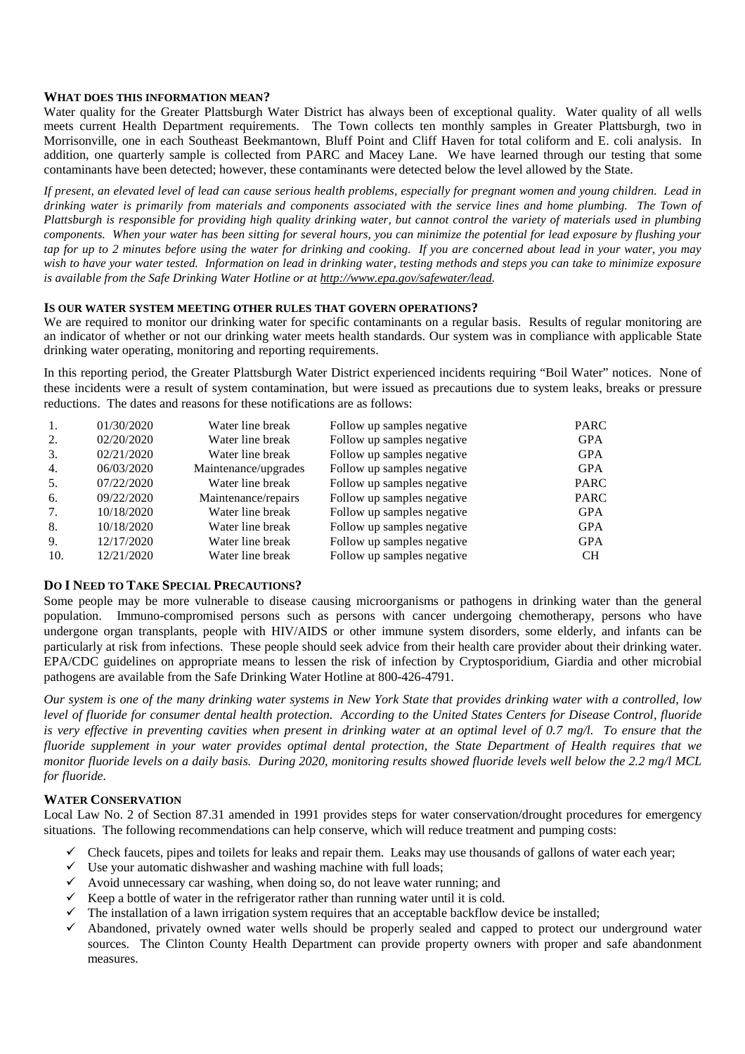## **WHAT DOES THIS INFORMATION MEAN?**

Water quality for the Greater Plattsburgh Water District has always been of exceptional quality. Water quality of all wells meets current Health Department requirements. The Town collects ten monthly samples in Greater Plattsburgh, two in Morrisonville, one in each Southeast Beekmantown, Bluff Point and Cliff Haven for total coliform and E. coli analysis. In addition, one quarterly sample is collected from PARC and Macey Lane. We have learned through our testing that some contaminants have been detected; however, these contaminants were detected below the level allowed by the State.

*If present, an elevated level of lead can cause serious health problems, especially for pregnant women and young children. Lead in drinking water is primarily from materials and components associated with the service lines and home plumbing. The Town of Plattsburgh is responsible for providing high quality drinking water, but cannot control the variety of materials used in plumbing components. When your water has been sitting for several hours, you can minimize the potential for lead exposure by flushing your tap for up to 2 minutes before using the water for drinking and cooking. If you are concerned about lead in your water, you may wish to have your water tested. Information on lead in drinking water, testing methods and steps you can take to minimize exposure is available from the Safe Drinking Water Hotline or at http://www.epa.gov/safewater/lead.*

## **IS OUR WATER SYSTEM MEETING OTHER RULES THAT GOVERN OPERATIONS?**

We are required to monitor our drinking water for specific contaminants on a regular basis. Results of regular monitoring are an indicator of whether or not our drinking water meets health standards. Our system was in compliance with applicable State drinking water operating, monitoring and reporting requirements.

In this reporting period, the Greater Plattsburgh Water District experienced incidents requiring "Boil Water" notices. None of these incidents were a result of system contamination, but were issued as precautions due to system leaks, breaks or pressure reductions. The dates and reasons for these notifications are as follows:

|     | 01/30/2020 | Water line break     | Follow up samples negative | <b>PARC</b> |
|-----|------------|----------------------|----------------------------|-------------|
| 2.  | 02/20/2020 | Water line break     | Follow up samples negative | <b>GPA</b>  |
| 3.  | 02/21/2020 | Water line break     | Follow up samples negative | <b>GPA</b>  |
| 4.  | 06/03/2020 | Maintenance/upgrades | Follow up samples negative | <b>GPA</b>  |
| 5.  | 07/22/2020 | Water line break     | Follow up samples negative | <b>PARC</b> |
| 6.  | 09/22/2020 | Maintenance/repairs  | Follow up samples negative | <b>PARC</b> |
| 7.  | 10/18/2020 | Water line break     | Follow up samples negative | <b>GPA</b>  |
| 8.  | 10/18/2020 | Water line break     | Follow up samples negative | <b>GPA</b>  |
| 9.  | 12/17/2020 | Water line break     | Follow up samples negative | <b>GPA</b>  |
| 10. | 12/21/2020 | Water line break     | Follow up samples negative | <b>CH</b>   |

### **DO I NEED TO TAKE SPECIAL PRECAUTIONS?**

Some people may be more vulnerable to disease causing microorganisms or pathogens in drinking water than the general population. Immuno-compromised persons such as persons with cancer undergoing chemotherapy, persons who have undergone organ transplants, people with HIV/AIDS or other immune system disorders, some elderly, and infants can be particularly at risk from infections. These people should seek advice from their health care provider about their drinking water. EPA/CDC guidelines on appropriate means to lessen the risk of infection by Cryptosporidium, Giardia and other microbial pathogens are available from the Safe Drinking Water Hotline at 800-426-4791.

*Our system is one of the many drinking water systems in New York State that provides drinking water with a controlled, low level of fluoride for consumer dental health protection. According to the United States Centers for Disease Control, fluoride is very effective in preventing cavities when present in drinking water at an optimal level of 0.7 mg/l. To ensure that the fluoride supplement in your water provides optimal dental protection, the State Department of Health requires that we monitor fluoride levels on a daily basis. During 2020, monitoring results showed fluoride levels well below the 2.2 mg/l MCL for fluoride.*

# **WATER CONSERVATION**

Local Law No. 2 of Section 87.31 amended in 1991 provides steps for water conservation/drought procedures for emergency situations. The following recommendations can help conserve, which will reduce treatment and pumping costs:

- $\checkmark$  Check faucets, pipes and toilets for leaks and repair them. Leaks may use thousands of gallons of water each year;
- $\checkmark$  Use your automatic dishwasher and washing machine with full loads;
- $\checkmark$  Avoid unnecessary car washing, when doing so, do not leave water running; and
- $\checkmark$  Keep a bottle of water in the refrigerator rather than running water until it is cold.
- $\checkmark$  The installation of a lawn irrigation system requires that an acceptable backflow device be installed;
- $\checkmark$  Abandoned, privately owned water wells should be properly sealed and capped to protect our underground water sources. The Clinton County Health Department can provide property owners with proper and safe abandonment measures.